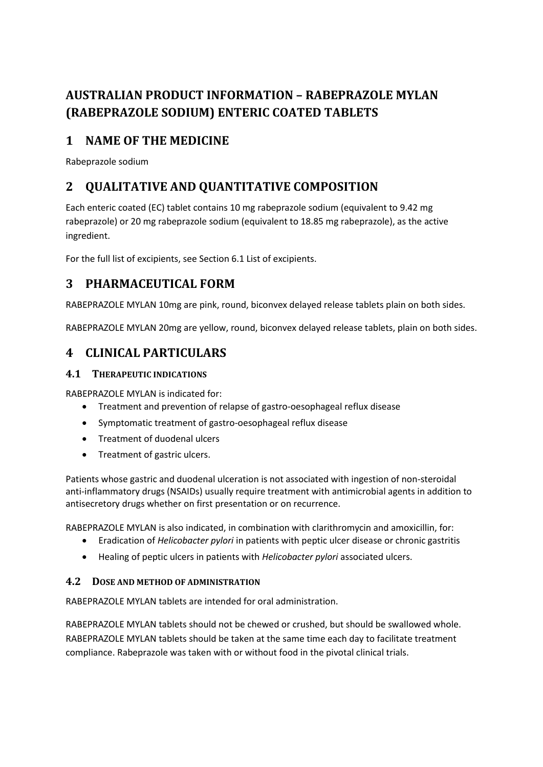# **AUSTRALIAN PRODUCT INFORMATION – RABEPRAZOLE MYLAN (RABEPRAZOLE SODIUM) ENTERIC COATED TABLETS**

# **1 NAME OF THE MEDICINE**

Rabeprazole sodium

# **2 QUALITATIVE AND QUANTITATIVE COMPOSITION**

Each enteric coated (EC) tablet contains 10 mg rabeprazole sodium (equivalent to 9.42 mg rabeprazole) or 20 mg rabeprazole sodium (equivalent to 18.85 mg rabeprazole), as the active ingredient.

For the full list of excipients, see Section 6.1 List of excipients.

# **3 PHARMACEUTICAL FORM**

RABEPRAZOLE MYLAN 10mg are pink, round, biconvex delayed release tablets plain on both sides.

RABEPRAZOLE MYLAN 20mg are yellow, round, biconvex delayed release tablets, plain on both sides.

# **4 CLINICAL PARTICULARS**

# **4.1 THERAPEUTIC INDICATIONS**

RABEPRAZOLE MYLAN is indicated for:

- Treatment and prevention of relapse of gastro-oesophageal reflux disease
- Symptomatic treatment of gastro-oesophageal reflux disease
- Treatment of duodenal ulcers
- Treatment of gastric ulcers.

Patients whose gastric and duodenal ulceration is not associated with ingestion of non-steroidal anti-inflammatory drugs (NSAIDs) usually require treatment with antimicrobial agents in addition to antisecretory drugs whether on first presentation or on recurrence.

RABEPRAZOLE MYLAN is also indicated, in combination with clarithromycin and amoxicillin, for:

- Eradication of *Helicobacter pylori* in patients with peptic ulcer disease or chronic gastritis
- Healing of peptic ulcers in patients with *Helicobacter pylori* associated ulcers.

# **4.2 DOSE AND METHOD OF ADMINISTRATION**

RABEPRAZOLE MYLAN tablets are intended for oral administration.

RABEPRAZOLE MYLAN tablets should not be chewed or crushed, but should be swallowed whole. RABEPRAZOLE MYLAN tablets should be taken at the same time each day to facilitate treatment compliance. Rabeprazole was taken with or without food in the pivotal clinical trials.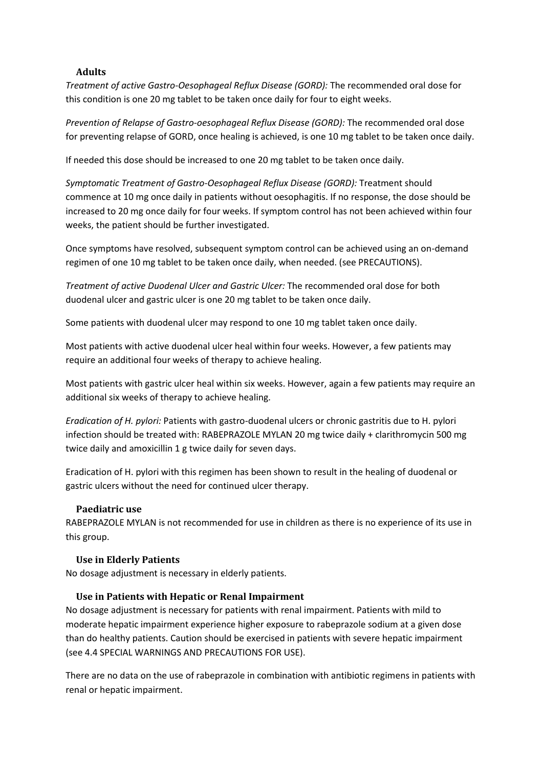### **Adults**

*Treatment of active Gastro-Oesophageal Reflux Disease (GORD):* The recommended oral dose for this condition is one 20 mg tablet to be taken once daily for four to eight weeks.

*Prevention of Relapse of Gastro-oesophageal Reflux Disease (GORD):* The recommended oral dose for preventing relapse of GORD, once healing is achieved, is one 10 mg tablet to be taken once daily.

If needed this dose should be increased to one 20 mg tablet to be taken once daily.

*Symptomatic Treatment of Gastro-Oesophageal Reflux Disease (GORD):* Treatment should commence at 10 mg once daily in patients without oesophagitis. If no response, the dose should be increased to 20 mg once daily for four weeks. If symptom control has not been achieved within four weeks, the patient should be further investigated.

Once symptoms have resolved, subsequent symptom control can be achieved using an on-demand regimen of one 10 mg tablet to be taken once daily, when needed. (see PRECAUTIONS).

*Treatment of active Duodenal Ulcer and Gastric Ulcer:* The recommended oral dose for both duodenal ulcer and gastric ulcer is one 20 mg tablet to be taken once daily.

Some patients with duodenal ulcer may respond to one 10 mg tablet taken once daily.

Most patients with active duodenal ulcer heal within four weeks. However, a few patients may require an additional four weeks of therapy to achieve healing.

Most patients with gastric ulcer heal within six weeks. However, again a few patients may require an additional six weeks of therapy to achieve healing.

*Eradication of H. pylori:* Patients with gastro-duodenal ulcers or chronic gastritis due to H. pylori infection should be treated with: RABEPRAZOLE MYLAN 20 mg twice daily + clarithromycin 500 mg twice daily and amoxicillin 1 g twice daily for seven days.

Eradication of H. pylori with this regimen has been shown to result in the healing of duodenal or gastric ulcers without the need for continued ulcer therapy.

#### **Paediatric use**

RABEPRAZOLE MYLAN is not recommended for use in children as there is no experience of its use in this group.

#### **Use in Elderly Patients**

No dosage adjustment is necessary in elderly patients.

#### **Use in Patients with Hepatic or Renal Impairment**

No dosage adjustment is necessary for patients with renal impairment. Patients with mild to moderate hepatic impairment experience higher exposure to rabeprazole sodium at a given dose than do healthy patients. Caution should be exercised in patients with severe hepatic impairment (see 4.4 SPECIAL WARNINGS AND PRECAUTIONS FOR USE).

There are no data on the use of rabeprazole in combination with antibiotic regimens in patients with renal or hepatic impairment.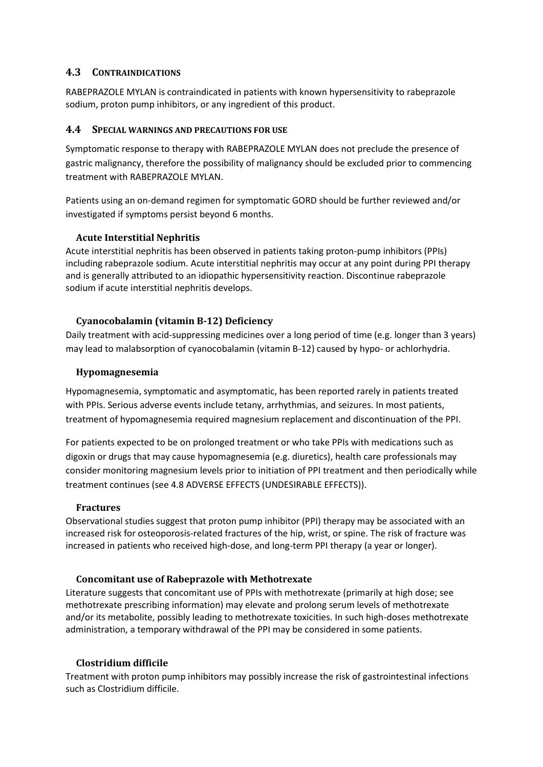## **4.3 CONTRAINDICATIONS**

RABEPRAZOLE MYLAN is contraindicated in patients with known hypersensitivity to rabeprazole sodium, proton pump inhibitors, or any ingredient of this product.

## **4.4 SPECIAL WARNINGS AND PRECAUTIONS FOR USE**

Symptomatic response to therapy with RABEPRAZOLE MYLAN does not preclude the presence of gastric malignancy, therefore the possibility of malignancy should be excluded prior to commencing treatment with RABEPRAZOLE MYLAN.

Patients using an on-demand regimen for symptomatic GORD should be further reviewed and/or investigated if symptoms persist beyond 6 months.

## **Acute Interstitial Nephritis**

Acute interstitial nephritis has been observed in patients taking proton-pump inhibitors (PPIs) including rabeprazole sodium. Acute interstitial nephritis may occur at any point during PPI therapy and is generally attributed to an idiopathic hypersensitivity reaction. Discontinue rabeprazole sodium if acute interstitial nephritis develops.

## **Cyanocobalamin (vitamin B-12) Deficiency**

Daily treatment with acid-suppressing medicines over a long period of time (e.g. longer than 3 years) may lead to malabsorption of cyanocobalamin (vitamin B-12) caused by hypo- or achlorhydria.

## **Hypomagnesemia**

Hypomagnesemia, symptomatic and asymptomatic, has been reported rarely in patients treated with PPIs. Serious adverse events include tetany, arrhythmias, and seizures. In most patients, treatment of hypomagnesemia required magnesium replacement and discontinuation of the PPI.

For patients expected to be on prolonged treatment or who take PPIs with medications such as digoxin or drugs that may cause hypomagnesemia (e.g. diuretics), health care professionals may consider monitoring magnesium levels prior to initiation of PPI treatment and then periodically while treatment continues (see 4.8 ADVERSE EFFECTS (UNDESIRABLE EFFECTS)).

## **Fractures**

Observational studies suggest that proton pump inhibitor (PPI) therapy may be associated with an increased risk for osteoporosis-related fractures of the hip, wrist, or spine. The risk of fracture was increased in patients who received high-dose, and long-term PPI therapy (a year or longer).

## **Concomitant use of Rabeprazole with Methotrexate**

Literature suggests that concomitant use of PPIs with methotrexate (primarily at high dose; see methotrexate prescribing information) may elevate and prolong serum levels of methotrexate and/or its metabolite, possibly leading to methotrexate toxicities. In such high-doses methotrexate administration, a temporary withdrawal of the PPI may be considered in some patients.

## **Clostridium difficile**

Treatment with proton pump inhibitors may possibly increase the risk of gastrointestinal infections such as Clostridium difficile.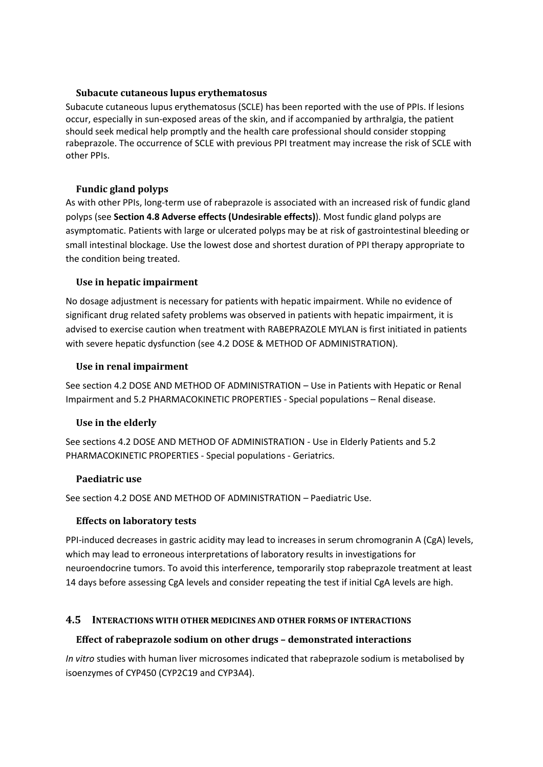## **Subacute cutaneous lupus erythematosus**

Subacute cutaneous lupus erythematosus (SCLE) has been reported with the use of PPIs. If lesions occur, especially in sun-exposed areas of the skin, and if accompanied by arthralgia, the patient should seek medical help promptly and the health care professional should consider stopping rabeprazole. The occurrence of SCLE with previous PPI treatment may increase the risk of SCLE with other PPIs.

## **Fundic gland polyps**

As with other PPIs, long-term use of rabeprazole is associated with an increased risk of fundic gland polyps (see **Section 4.8 Adverse effects (Undesirable effects)**). Most fundic gland polyps are asymptomatic. Patients with large or ulcerated polyps may be at risk of gastrointestinal bleeding or small intestinal blockage. Use the lowest dose and shortest duration of PPI therapy appropriate to the condition being treated.

## **Use in hepatic impairment**

No dosage adjustment is necessary for patients with hepatic impairment. While no evidence of significant drug related safety problems was observed in patients with hepatic impairment, it is advised to exercise caution when treatment with RABEPRAZOLE MYLAN is first initiated in patients with severe hepatic dysfunction (see 4.2 DOSE & METHOD OF ADMINISTRATION).

## **Use in renal impairment**

See section 4.2 DOSE AND METHOD OF ADMINISTRATION – Use in Patients with Hepatic or Renal Impairment and 5.2 PHARMACOKINETIC PROPERTIES - Special populations – Renal disease.

# **Use in the elderly**

See sections 4.2 DOSE AND METHOD OF ADMINISTRATION - Use in Elderly Patients and 5.2 PHARMACOKINETIC PROPERTIES - Special populations - Geriatrics.

## **Paediatric use**

See section 4.2 DOSE AND METHOD OF ADMINISTRATION – Paediatric Use.

## **Effects on laboratory tests**

PPI-induced decreases in gastric acidity may lead to increases in serum chromogranin A (CgA) levels, which may lead to erroneous interpretations of laboratory results in investigations for neuroendocrine tumors. To avoid this interference, temporarily stop rabeprazole treatment at least 14 days before assessing CgA levels and consider repeating the test if initial CgA levels are high.

# **4.5 INTERACTIONS WITH OTHER MEDICINES AND OTHER FORMS OF INTERACTIONS**

# **Effect of rabeprazole sodium on other drugs – demonstrated interactions**

*In vitro* studies with human liver microsomes indicated that rabeprazole sodium is metabolised by isoenzymes of CYP450 (CYP2C19 and CYP3A4).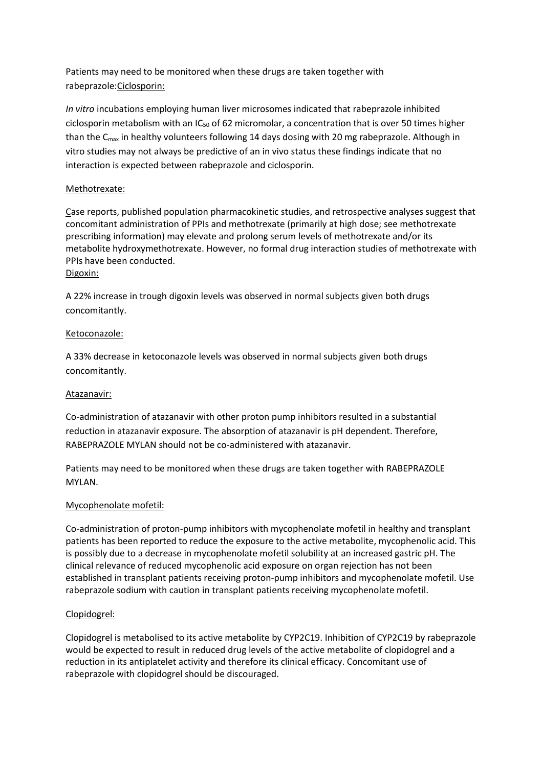Patients may need to be monitored when these drugs are taken together with rabeprazole:Ciclosporin:

*In vitro* incubations employing human liver microsomes indicated that rabeprazole inhibited ciclosporin metabolism with an  $IC_{50}$  of 62 micromolar, a concentration that is over 50 times higher than the C<sub>max</sub> in healthy volunteers following 14 days dosing with 20 mg rabeprazole. Although in vitro studies may not always be predictive of an in vivo status these findings indicate that no interaction is expected between rabeprazole and ciclosporin.

## Methotrexate:

Case reports, published population pharmacokinetic studies, and retrospective analyses suggest that concomitant administration of PPIs and methotrexate (primarily at high dose; see methotrexate prescribing information) may elevate and prolong serum levels of methotrexate and/or its metabolite hydroxymethotrexate. However, no formal drug interaction studies of methotrexate with PPIs have been conducted. Digoxin:

A 22% increase in trough digoxin levels was observed in normal subjects given both drugs concomitantly.

#### Ketoconazole:

A 33% decrease in ketoconazole levels was observed in normal subjects given both drugs concomitantly.

#### Atazanavir:

Co-administration of atazanavir with other proton pump inhibitors resulted in a substantial reduction in atazanavir exposure. The absorption of atazanavir is pH dependent. Therefore, RABEPRAZOLE MYLAN should not be co-administered with atazanavir.

Patients may need to be monitored when these drugs are taken together with RABEPRAZOLE MYLAN.

#### Mycophenolate mofetil:

Co-administration of proton-pump inhibitors with mycophenolate mofetil in healthy and transplant patients has been reported to reduce the exposure to the active metabolite, mycophenolic acid. This is possibly due to a decrease in mycophenolate mofetil solubility at an increased gastric pH. The clinical relevance of reduced mycophenolic acid exposure on organ rejection has not been established in transplant patients receiving proton-pump inhibitors and mycophenolate mofetil. Use rabeprazole sodium with caution in transplant patients receiving mycophenolate mofetil.

#### Clopidogrel:

Clopidogrel is metabolised to its active metabolite by CYP2C19. Inhibition of CYP2C19 by rabeprazole would be expected to result in reduced drug levels of the active metabolite of clopidogrel and a reduction in its antiplatelet activity and therefore its clinical efficacy. Concomitant use of rabeprazole with clopidogrel should be discouraged.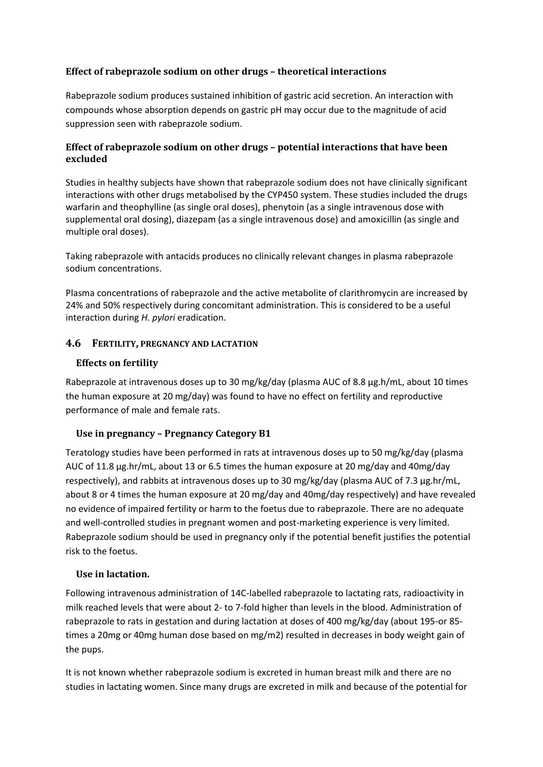## **Effect of rabeprazole sodium on other drugs – theoretical interactions**

Rabeprazole sodium produces sustained inhibition of gastric acid secretion. An interaction with compounds whose absorption depends on gastric pH may occur due to the magnitude of acid suppression seen with rabeprazole sodium.

## **Effect of rabeprazole sodium on other drugs – potential interactions that have been excluded**

Studies in healthy subjects have shown that rabeprazole sodium does not have clinically significant interactions with other drugs metabolised by the CYP450 system. These studies included the drugs warfarin and theophylline (as single oral doses), phenytoin (as a single intravenous dose with supplemental oral dosing), diazepam (as a single intravenous dose) and amoxicillin (as single and multiple oral doses).

Taking rabeprazole with antacids produces no clinically relevant changes in plasma rabeprazole sodium concentrations.

Plasma concentrations of rabeprazole and the active metabolite of clarithromycin are increased by 24% and 50% respectively during concomitant administration. This is considered to be a useful interaction during *H. pylori* eradication.

## **4.6 FERTILITY, PREGNANCY AND LACTATION**

## **Effects on fertility**

Rabeprazole at intravenous doses up to 30 mg/kg/day (plasma AUC of 8.8 μg.h/mL, about 10 times the human exposure at 20 mg/day) was found to have no effect on fertility and reproductive performance of male and female rats.

# **Use in pregnancy – Pregnancy Category B1**

Teratology studies have been performed in rats at intravenous doses up to 50 mg/kg/day (plasma AUC of 11.8 µg.hr/mL, about 13 or 6.5 times the human exposure at 20 mg/day and 40mg/day respectively), and rabbits at intravenous doses up to 30 mg/kg/day (plasma AUC of 7.3 µg.hr/mL, about 8 or 4 times the human exposure at 20 mg/day and 40mg/day respectively) and have revealed no evidence of impaired fertility or harm to the foetus due to rabeprazole. There are no adequate and well-controlled studies in pregnant women and post-marketing experience is very limited. Rabeprazole sodium should be used in pregnancy only if the potential benefit justifies the potential risk to the foetus.

## **Use in lactation.**

Following intravenous administration of 14C-labelled rabeprazole to lactating rats, radioactivity in milk reached levels that were about 2- to 7-fold higher than levels in the blood. Administration of rabeprazole to rats in gestation and during lactation at doses of 400 mg/kg/day (about 195-or 85 times a 20mg or 40mg human dose based on mg/m2) resulted in decreases in body weight gain of the pups.

It is not known whether rabeprazole sodium is excreted in human breast milk and there are no studies in lactating women. Since many drugs are excreted in milk and because of the potential for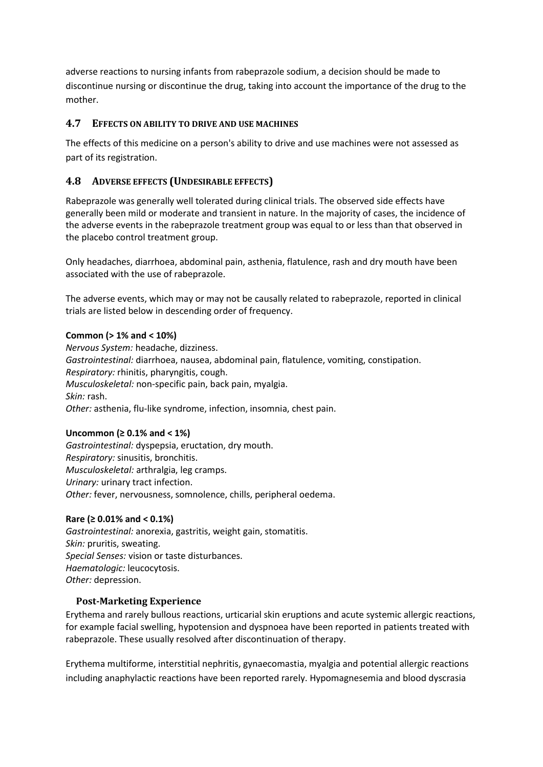adverse reactions to nursing infants from rabeprazole sodium, a decision should be made to discontinue nursing or discontinue the drug, taking into account the importance of the drug to the mother.

## **4.7 EFFECTS ON ABILITY TO DRIVE AND USE MACHINES**

The effects of this medicine on a person's ability to drive and use machines were not assessed as part of its registration.

# **4.8 ADVERSE EFFECTS (UNDESIRABLE EFFECTS)**

Rabeprazole was generally well tolerated during clinical trials. The observed side effects have generally been mild or moderate and transient in nature. In the majority of cases, the incidence of the adverse events in the rabeprazole treatment group was equal to or less than that observed in the placebo control treatment group.

Only headaches, diarrhoea, abdominal pain, asthenia, flatulence, rash and dry mouth have been associated with the use of rabeprazole.

The adverse events, which may or may not be causally related to rabeprazole, reported in clinical trials are listed below in descending order of frequency.

### **Common (> 1% and < 10%)**

*Nervous System:* headache, dizziness. *Gastrointestinal:* diarrhoea, nausea, abdominal pain, flatulence, vomiting, constipation. *Respiratory:* rhinitis, pharyngitis, cough. *Musculoskeletal:* non-specific pain, back pain, myalgia. *Skin:* rash. *Other:* asthenia, flu-like syndrome, infection, insomnia, chest pain.

#### **Uncommon (≥ 0.1% and < 1%)**

*Gastrointestinal:* dyspepsia, eructation, dry mouth. *Respiratory:* sinusitis, bronchitis. *Musculoskeletal:* arthralgia, leg cramps. *Urinary:* urinary tract infection. *Other:* fever, nervousness, somnolence, chills, peripheral oedema.

## **Rare (≥ 0.01% and < 0.1%)**

*Gastrointestinal:* anorexia, gastritis, weight gain, stomatitis. *Skin:* pruritis, sweating. *Special Senses:* vision or taste disturbances. *Haematologic:* leucocytosis. *Other:* depression.

## **Post-Marketing Experience**

Erythema and rarely bullous reactions, urticarial skin eruptions and acute systemic allergic reactions, for example facial swelling, hypotension and dyspnoea have been reported in patients treated with rabeprazole. These usually resolved after discontinuation of therapy.

Erythema multiforme, interstitial nephritis, gynaecomastia, myalgia and potential allergic reactions including anaphylactic reactions have been reported rarely. Hypomagnesemia and blood dyscrasia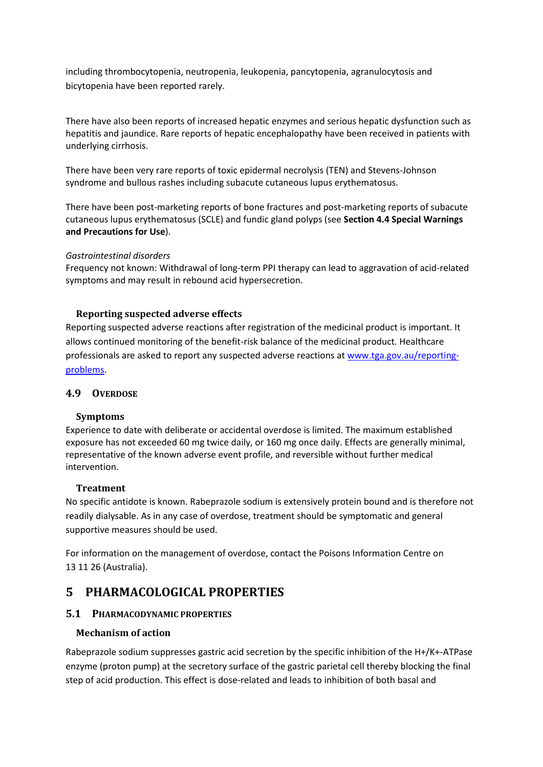including thrombocytopenia, neutropenia, leukopenia, pancytopenia, agranulocytosis and bicytopenia have been reported rarely.

There have also been reports of increased hepatic enzymes and serious hepatic dysfunction such as hepatitis and jaundice. Rare reports of hepatic encephalopathy have been received in patients with underlying cirrhosis.

There have been very rare reports of toxic epidermal necrolysis (TEN) and Stevens-Johnson syndrome and bullous rashes including subacute cutaneous lupus erythematosus.

There have been post-marketing reports of bone fractures and post-marketing reports of subacute cutaneous lupus erythematosus (SCLE) and fundic gland polyps (see **Section 4.4 Special Warnings and Precautions for Use**).

#### *Gastrointestinal disorders*

Frequency not known: Withdrawal of long-term PPI therapy can lead to aggravation of acid-related symptoms and may result in rebound acid hypersecretion.

#### **Reporting suspected adverse effects**

Reporting suspected adverse reactions after registration of the medicinal product is important. It allows continued monitoring of the benefit-risk balance of the medicinal product. Healthcare professionals are asked to report any suspected adverse reactions at [www.tga.gov.au/reporting](http://www.tga.gov.au/reporting-problems)[problems.](http://www.tga.gov.au/reporting-problems)

### **4.9 OVERDOSE**

#### **Symptoms**

Experience to date with deliberate or accidental overdose is limited. The maximum established exposure has not exceeded 60 mg twice daily, or 160 mg once daily. Effects are generally minimal, representative of the known adverse event profile, and reversible without further medical intervention.

#### **Treatment**

No specific antidote is known. Rabeprazole sodium is extensively protein bound and is therefore not readily dialysable. As in any case of overdose, treatment should be symptomatic and general supportive measures should be used.

For information on the management of overdose, contact the Poisons Information Centre on 13 11 26 (Australia).

# **5 PHARMACOLOGICAL PROPERTIES**

## **5.1 PHARMACODYNAMIC PROPERTIES**

#### **Mechanism of action**

Rabeprazole sodium suppresses gastric acid secretion by the specific inhibition of the H+/K+-ATPase enzyme (proton pump) at the secretory surface of the gastric parietal cell thereby blocking the final step of acid production. This effect is dose-related and leads to inhibition of both basal and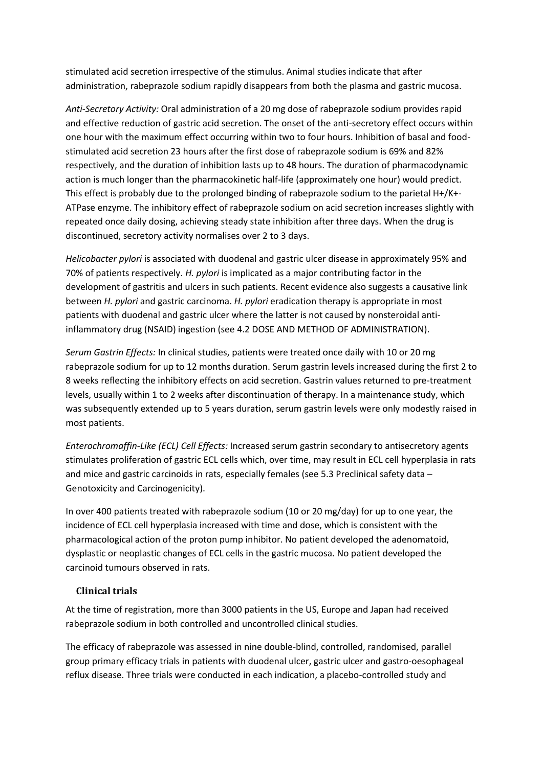stimulated acid secretion irrespective of the stimulus. Animal studies indicate that after administration, rabeprazole sodium rapidly disappears from both the plasma and gastric mucosa.

*Anti-Secretory Activity:* Oral administration of a 20 mg dose of rabeprazole sodium provides rapid and effective reduction of gastric acid secretion. The onset of the anti-secretory effect occurs within one hour with the maximum effect occurring within two to four hours. Inhibition of basal and foodstimulated acid secretion 23 hours after the first dose of rabeprazole sodium is 69% and 82% respectively, and the duration of inhibition lasts up to 48 hours. The duration of pharmacodynamic action is much longer than the pharmacokinetic half-life (approximately one hour) would predict. This effect is probably due to the prolonged binding of rabeprazole sodium to the parietal H+/K+- ATPase enzyme. The inhibitory effect of rabeprazole sodium on acid secretion increases slightly with repeated once daily dosing, achieving steady state inhibition after three days. When the drug is discontinued, secretory activity normalises over 2 to 3 days.

*Helicobacter pylori* is associated with duodenal and gastric ulcer disease in approximately 95% and 70% of patients respectively. *H. pylori* is implicated as a major contributing factor in the development of gastritis and ulcers in such patients. Recent evidence also suggests a causative link between *H. pylori* and gastric carcinoma. *H. pylori* eradication therapy is appropriate in most patients with duodenal and gastric ulcer where the latter is not caused by nonsteroidal antiinflammatory drug (NSAID) ingestion (see 4.2 DOSE AND METHOD OF ADMINISTRATION).

*Serum Gastrin Effects:* In clinical studies, patients were treated once daily with 10 or 20 mg rabeprazole sodium for up to 12 months duration. Serum gastrin levels increased during the first 2 to 8 weeks reflecting the inhibitory effects on acid secretion. Gastrin values returned to pre-treatment levels, usually within 1 to 2 weeks after discontinuation of therapy. In a maintenance study, which was subsequently extended up to 5 years duration, serum gastrin levels were only modestly raised in most patients.

*Enterochromaffin-Like (ECL) Cell Effects:* Increased serum gastrin secondary to antisecretory agents stimulates proliferation of gastric ECL cells which, over time, may result in ECL cell hyperplasia in rats and mice and gastric carcinoids in rats, especially females (see 5.3 Preclinical safety data – Genotoxicity and Carcinogenicity).

In over 400 patients treated with rabeprazole sodium (10 or 20 mg/day) for up to one year, the incidence of ECL cell hyperplasia increased with time and dose, which is consistent with the pharmacological action of the proton pump inhibitor. No patient developed the adenomatoid, dysplastic or neoplastic changes of ECL cells in the gastric mucosa. No patient developed the carcinoid tumours observed in rats.

## **Clinical trials**

At the time of registration, more than 3000 patients in the US, Europe and Japan had received rabeprazole sodium in both controlled and uncontrolled clinical studies.

The efficacy of rabeprazole was assessed in nine double-blind, controlled, randomised, parallel group primary efficacy trials in patients with duodenal ulcer, gastric ulcer and gastro-oesophageal reflux disease. Three trials were conducted in each indication, a placebo-controlled study and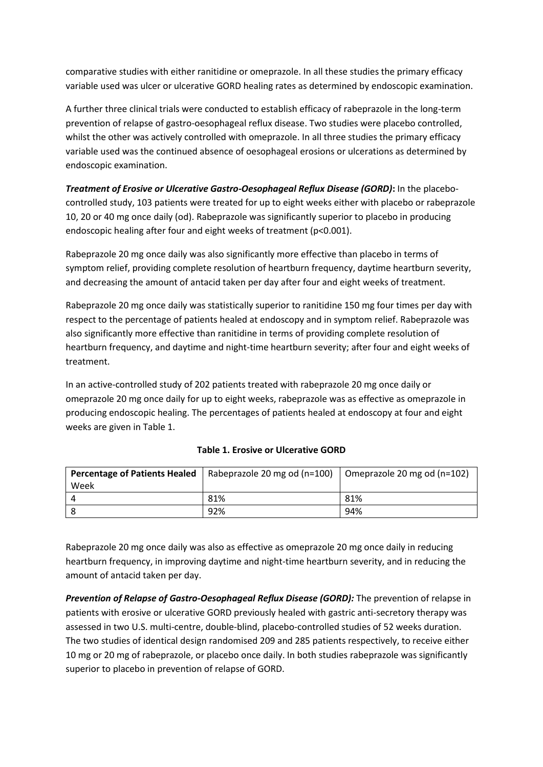comparative studies with either ranitidine or omeprazole. In all these studies the primary efficacy variable used was ulcer or ulcerative GORD healing rates as determined by endoscopic examination.

A further three clinical trials were conducted to establish efficacy of rabeprazole in the long-term prevention of relapse of gastro-oesophageal reflux disease. Two studies were placebo controlled, whilst the other was actively controlled with omeprazole. In all three studies the primary efficacy variable used was the continued absence of oesophageal erosions or ulcerations as determined by endoscopic examination.

*Treatment of Erosive or Ulcerative Gastro-Oesophageal Reflux Disease (GORD)***:** In the placebocontrolled study, 103 patients were treated for up to eight weeks either with placebo or rabeprazole 10, 20 or 40 mg once daily (od). Rabeprazole was significantly superior to placebo in producing endoscopic healing after four and eight weeks of treatment (p<0.001).

Rabeprazole 20 mg once daily was also significantly more effective than placebo in terms of symptom relief, providing complete resolution of heartburn frequency, daytime heartburn severity, and decreasing the amount of antacid taken per day after four and eight weeks of treatment.

Rabeprazole 20 mg once daily was statistically superior to ranitidine 150 mg four times per day with respect to the percentage of patients healed at endoscopy and in symptom relief. Rabeprazole was also significantly more effective than ranitidine in terms of providing complete resolution of heartburn frequency, and daytime and night-time heartburn severity; after four and eight weeks of treatment.

In an active-controlled study of 202 patients treated with rabeprazole 20 mg once daily or omeprazole 20 mg once daily for up to eight weeks, rabeprazole was as effective as omeprazole in producing endoscopic healing. The percentages of patients healed at endoscopy at four and eight weeks are given in Table 1.

|      | <b>Percentage of Patients Healed</b>   Rabeprazole 20 mg od ( $n=100$ )   Omeprazole 20 mg od ( $n=102$ ) |     |
|------|-----------------------------------------------------------------------------------------------------------|-----|
| Week |                                                                                                           |     |
|      | 81%                                                                                                       | 81% |
|      | 92%                                                                                                       | 94% |

## **Table 1. Erosive or Ulcerative GORD**

Rabeprazole 20 mg once daily was also as effective as omeprazole 20 mg once daily in reducing heartburn frequency, in improving daytime and night-time heartburn severity, and in reducing the amount of antacid taken per day.

*Prevention of Relapse of Gastro-Oesophageal Reflux Disease (GORD):* The prevention of relapse in patients with erosive or ulcerative GORD previously healed with gastric anti-secretory therapy was assessed in two U.S. multi-centre, double-blind, placebo-controlled studies of 52 weeks duration. The two studies of identical design randomised 209 and 285 patients respectively, to receive either 10 mg or 20 mg of rabeprazole, or placebo once daily. In both studies rabeprazole was significantly superior to placebo in prevention of relapse of GORD.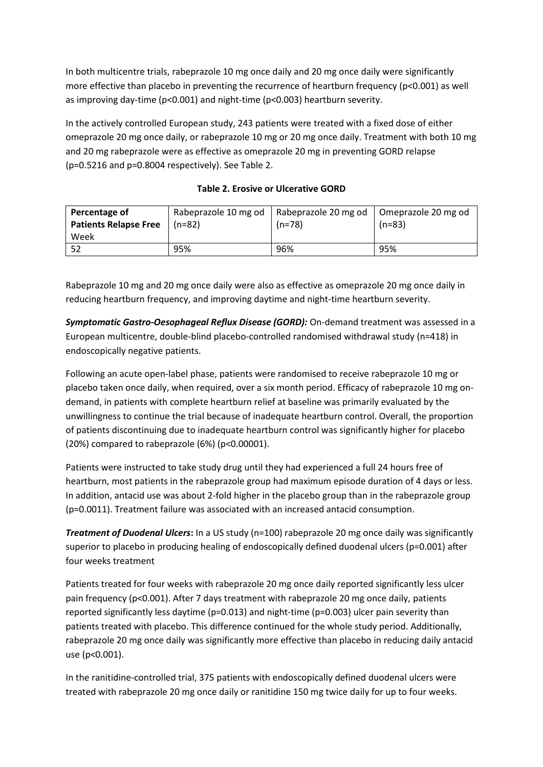In both multicentre trials, rabeprazole 10 mg once daily and 20 mg once daily were significantly more effective than placebo in preventing the recurrence of heartburn frequency (p<0.001) as well as improving day-time (p<0.001) and night-time (p<0.003) heartburn severity.

In the actively controlled European study, 243 patients were treated with a fixed dose of either omeprazole 20 mg once daily, or rabeprazole 10 mg or 20 mg once daily. Treatment with both 10 mg and 20 mg rabeprazole were as effective as omeprazole 20 mg in preventing GORD relapse (p=0.5216 and p=0.8004 respectively). See Table 2.

| Percentage of                |          | Rabeprazole 10 mg od   Rabeprazole 20 mg od   Omeprazole 20 mg od |          |
|------------------------------|----------|-------------------------------------------------------------------|----------|
| <b>Patients Relapse Free</b> | $(n=82)$ | $(n=78)$                                                          | $(n=83)$ |
| Week                         |          |                                                                   |          |
| -52                          | 95%      | 96%                                                               | 95%      |

### **Table 2. Erosive or Ulcerative GORD**

Rabeprazole 10 mg and 20 mg once daily were also as effective as omeprazole 20 mg once daily in reducing heartburn frequency, and improving daytime and night-time heartburn severity.

*Symptomatic Gastro-Oesophageal Reflux Disease (GORD):* On-demand treatment was assessed in a European multicentre, double-blind placebo-controlled randomised withdrawal study (n=418) in endoscopically negative patients.

Following an acute open-label phase, patients were randomised to receive rabeprazole 10 mg or placebo taken once daily, when required, over a six month period. Efficacy of rabeprazole 10 mg ondemand, in patients with complete heartburn relief at baseline was primarily evaluated by the unwillingness to continue the trial because of inadequate heartburn control. Overall, the proportion of patients discontinuing due to inadequate heartburn control was significantly higher for placebo (20%) compared to rabeprazole (6%) (p<0.00001).

Patients were instructed to take study drug until they had experienced a full 24 hours free of heartburn, most patients in the rabeprazole group had maximum episode duration of 4 days or less. In addition, antacid use was about 2-fold higher in the placebo group than in the rabeprazole group (p=0.0011). Treatment failure was associated with an increased antacid consumption.

*Treatment of Duodenal Ulcers***:** In a US study (n=100) rabeprazole 20 mg once daily was significantly superior to placebo in producing healing of endoscopically defined duodenal ulcers (p=0.001) after four weeks treatment

Patients treated for four weeks with rabeprazole 20 mg once daily reported significantly less ulcer pain frequency (p<0.001). After 7 days treatment with rabeprazole 20 mg once daily, patients reported significantly less daytime (p=0.013) and night-time (p=0.003) ulcer pain severity than patients treated with placebo. This difference continued for the whole study period. Additionally, rabeprazole 20 mg once daily was significantly more effective than placebo in reducing daily antacid use (p<0.001).

In the ranitidine-controlled trial, 375 patients with endoscopically defined duodenal ulcers were treated with rabeprazole 20 mg once daily or ranitidine 150 mg twice daily for up to four weeks.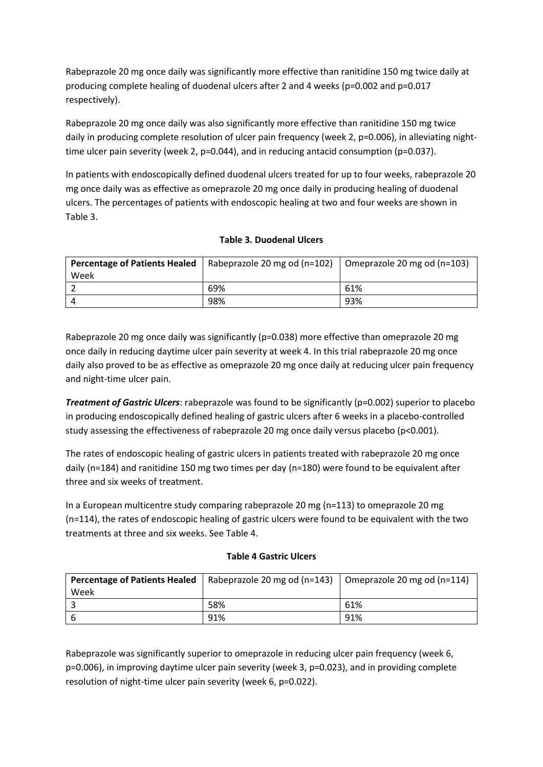Rabeprazole 20 mg once daily was significantly more effective than ranitidine 150 mg twice daily at producing complete healing of duodenal ulcers after 2 and 4 weeks (p=0.002 and p=0.017 respectively).

Rabeprazole 20 mg once daily was also significantly more effective than ranitidine 150 mg twice daily in producing complete resolution of ulcer pain frequency (week 2, p=0.006), in alleviating nighttime ulcer pain severity (week 2, p=0.044), and in reducing antacid consumption (p=0.037).

In patients with endoscopically defined duodenal ulcers treated for up to four weeks, rabeprazole 20 mg once daily was as effective as omeprazole 20 mg once daily in producing healing of duodenal ulcers. The percentages of patients with endoscopic healing at two and four weeks are shown in Table 3.

## **Table 3. Duodenal Ulcers**

| <b>Percentage of Patients Healed</b> | Rabeprazole 20 mg od (n=102) $\mid$ Omeprazole 20 mg od (n=103) |     |
|--------------------------------------|-----------------------------------------------------------------|-----|
| Week                                 |                                                                 |     |
|                                      | 69%                                                             | 61% |
|                                      | 98%                                                             | 93% |

Rabeprazole 20 mg once daily was significantly (p=0.038) more effective than omeprazole 20 mg once daily in reducing daytime ulcer pain severity at week 4. In this trial rabeprazole 20 mg once daily also proved to be as effective as omeprazole 20 mg once daily at reducing ulcer pain frequency and night-time ulcer pain.

*Treatment of Gastric Ulcers*: rabeprazole was found to be significantly (p=0.002) superior to placebo in producing endoscopically defined healing of gastric ulcers after 6 weeks in a placebo-controlled study assessing the effectiveness of rabeprazole 20 mg once daily versus placebo (p<0.001).

The rates of endoscopic healing of gastric ulcers in patients treated with rabeprazole 20 mg once daily (n=184) and ranitidine 150 mg two times per day (n=180) were found to be equivalent after three and six weeks of treatment.

In a European multicentre study comparing rabeprazole 20 mg (n=113) to omeprazole 20 mg (n=114), the rates of endoscopic healing of gastric ulcers were found to be equivalent with the two treatments at three and six weeks. See Table 4.

#### **Table 4 Gastric Ulcers**

| <b>Percentage of Patients Healed</b> | Rabeprazole 20 mg od $(n=143)$ | Omeprazole 20 mg od $(n=114)$ |
|--------------------------------------|--------------------------------|-------------------------------|
| Week                                 |                                |                               |
|                                      | 58%                            | 61%                           |
|                                      | 91%                            | 91%                           |

Rabeprazole was significantly superior to omeprazole in reducing ulcer pain frequency (week 6, p=0.006), in improving daytime ulcer pain severity (week 3, p=0.023), and in providing complete resolution of night-time ulcer pain severity (week 6, p=0.022).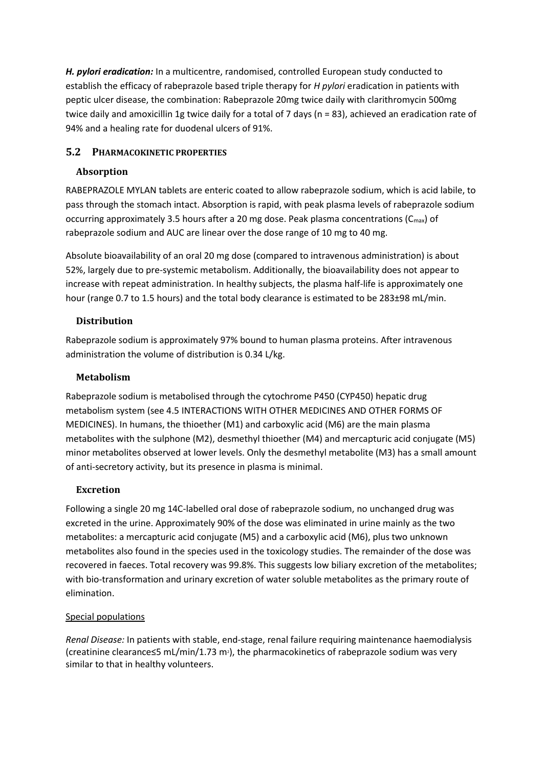*H. pylori eradication:* In a multicentre, randomised, controlled European study conducted to establish the efficacy of rabeprazole based triple therapy for *H pylori* eradication in patients with peptic ulcer disease, the combination: Rabeprazole 20mg twice daily with clarithromycin 500mg twice daily and amoxicillin 1g twice daily for a total of 7 days (n = 83), achieved an eradication rate of 94% and a healing rate for duodenal ulcers of 91%.

# **5.2 PHARMACOKINETIC PROPERTIES**

## **Absorption**

RABEPRAZOLE MYLAN tablets are enteric coated to allow rabeprazole sodium, which is acid labile, to pass through the stomach intact. Absorption is rapid, with peak plasma levels of rabeprazole sodium occurring approximately 3.5 hours after a 20 mg dose. Peak plasma concentrations ( $C_{\text{max}}$ ) of rabeprazole sodium and AUC are linear over the dose range of 10 mg to 40 mg.

Absolute bioavailability of an oral 20 mg dose (compared to intravenous administration) is about 52%, largely due to pre-systemic metabolism. Additionally, the bioavailability does not appear to increase with repeat administration. In healthy subjects, the plasma half-life is approximately one hour (range 0.7 to 1.5 hours) and the total body clearance is estimated to be 283±98 mL/min.

## **Distribution**

Rabeprazole sodium is approximately 97% bound to human plasma proteins. After intravenous administration the volume of distribution is 0.34 L/kg.

## **Metabolism**

Rabeprazole sodium is metabolised through the cytochrome P450 (CYP450) hepatic drug metabolism system (see 4.5 INTERACTIONS WITH OTHER MEDICINES AND OTHER FORMS OF MEDICINES). In humans, the thioether (M1) and carboxylic acid (M6) are the main plasma metabolites with the sulphone (M2), desmethyl thioether (M4) and mercapturic acid conjugate (M5) minor metabolites observed at lower levels. Only the desmethyl metabolite (M3) has a small amount of anti-secretory activity, but its presence in plasma is minimal.

# **Excretion**

Following a single 20 mg 14C-labelled oral dose of rabeprazole sodium, no unchanged drug was excreted in the urine. Approximately 90% of the dose was eliminated in urine mainly as the two metabolites: a mercapturic acid conjugate (M5) and a carboxylic acid (M6), plus two unknown metabolites also found in the species used in the toxicology studies. The remainder of the dose was recovered in faeces. Total recovery was 99.8%. This suggests low biliary excretion of the metabolites; with bio-transformation and urinary excretion of water soluble metabolites as the primary route of elimination.

## Special populations

*Renal Disease:* In patients with stable, end-stage, renal failure requiring maintenance haemodialysis (creatinine clearance≤5 mL/min/1.73 m2), the pharmacokinetics of rabeprazole sodium was very similar to that in healthy volunteers.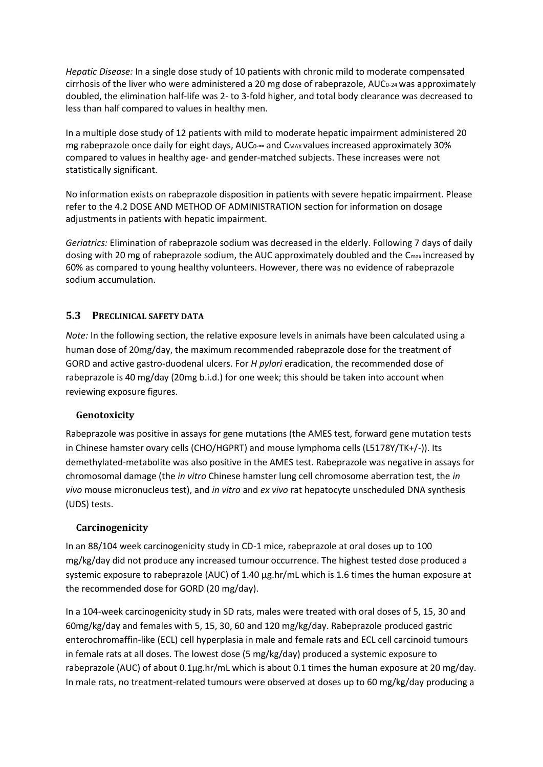*Hepatic Disease:* In a single dose study of 10 patients with chronic mild to moderate compensated cirrhosis of the liver who were administered a 20 mg dose of rabeprazole, AUC<sub>0-24</sub> was approximately doubled, the elimination half-life was 2- to 3-fold higher, and total body clearance was decreased to less than half compared to values in healthy men.

In a multiple dose study of 12 patients with mild to moderate hepatic impairment administered 20 mg rabeprazole once daily for eight days, AUC<sub>0</sub>∞ and C<sub>MAX</sub> values increased approximately 30% compared to values in healthy age- and gender-matched subjects. These increases were not statistically significant.

No information exists on rabeprazole disposition in patients with severe hepatic impairment. Please refer to the 4.2 DOSE AND METHOD OF ADMINISTRATION section for information on dosage adjustments in patients with hepatic impairment.

*Geriatrics:* Elimination of rabeprazole sodium was decreased in the elderly. Following 7 days of daily dosing with 20 mg of rabeprazole sodium, the AUC approximately doubled and the Cmax increased by 60% as compared to young healthy volunteers. However, there was no evidence of rabeprazole sodium accumulation.

## **5.3 PRECLINICAL SAFETY DATA**

*Note:* In the following section, the relative exposure levels in animals have been calculated using a human dose of 20mg/day, the maximum recommended rabeprazole dose for the treatment of GORD and active gastro-duodenal ulcers. For *H pylori* eradication, the recommended dose of rabeprazole is 40 mg/day (20mg b.i.d.) for one week; this should be taken into account when reviewing exposure figures.

## **Genotoxicity**

Rabeprazole was positive in assays for gene mutations (the AMES test, forward gene mutation tests in Chinese hamster ovary cells (CHO/HGPRT) and mouse lymphoma cells (L5178Y/TK+/-)). Its demethylated-metabolite was also positive in the AMES test. Rabeprazole was negative in assays for chromosomal damage (the *in vitro* Chinese hamster lung cell chromosome aberration test, the *in vivo* mouse micronucleus test), and *in vitro* and *ex vivo* rat hepatocyte unscheduled DNA synthesis (UDS) tests.

## **Carcinogenicity**

In an 88/104 week carcinogenicity study in CD-1 mice, rabeprazole at oral doses up to 100 mg/kg/day did not produce any increased tumour occurrence. The highest tested dose produced a systemic exposure to rabeprazole (AUC) of 1.40 µg.hr/mL which is 1.6 times the human exposure at the recommended dose for GORD (20 mg/day).

In a 104-week carcinogenicity study in SD rats, males were treated with oral doses of 5, 15, 30 and 60mg/kg/day and females with 5, 15, 30, 60 and 120 mg/kg/day. Rabeprazole produced gastric enterochromaffin-like (ECL) cell hyperplasia in male and female rats and ECL cell carcinoid tumours in female rats at all doses. The lowest dose (5 mg/kg/day) produced a systemic exposure to rabeprazole (AUC) of about 0.1µg.hr/mL which is about 0.1 times the human exposure at 20 mg/day. In male rats, no treatment-related tumours were observed at doses up to 60 mg/kg/day producing a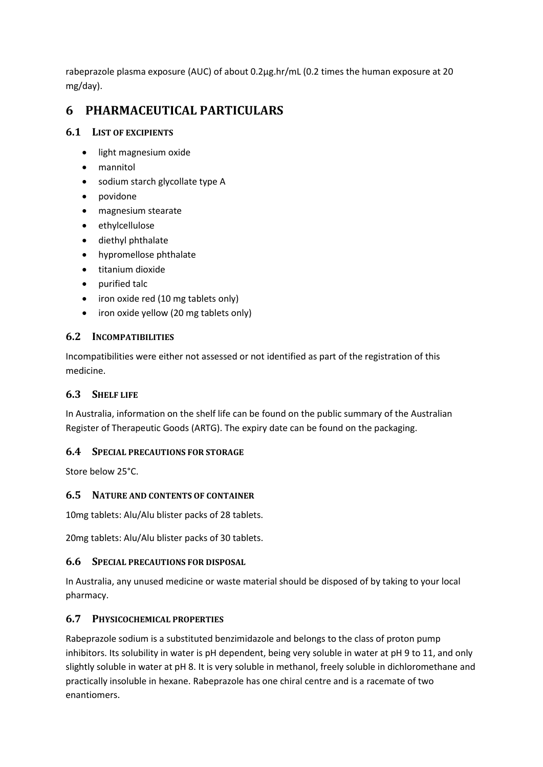rabeprazole plasma exposure (AUC) of about 0.2µg.hr/mL (0.2 times the human exposure at 20 mg/day).

# **6 PHARMACEUTICAL PARTICULARS**

# **6.1 LIST OF EXCIPIENTS**

- light magnesium oxide
- mannitol
- sodium starch glycollate type A
- povidone
- magnesium stearate
- ethylcellulose
- diethyl phthalate
- hypromellose phthalate
- titanium dioxide
- purified talc
- iron oxide red (10 mg tablets only)
- iron oxide yellow (20 mg tablets only)

## **6.2 INCOMPATIBILITIES**

Incompatibilities were either not assessed or not identified as part of the registration of this medicine.

## **6.3 SHELF LIFE**

In Australia, information on the shelf life can be found on the public summary of the Australian Register of Therapeutic Goods (ARTG). The expiry date can be found on the packaging.

## **6.4 SPECIAL PRECAUTIONS FOR STORAGE**

Store below 25°C.

## **6.5 NATURE AND CONTENTS OF CONTAINER**

10mg tablets: Alu/Alu blister packs of 28 tablets.

20mg tablets: Alu/Alu blister packs of 30 tablets.

## **6.6 SPECIAL PRECAUTIONS FOR DISPOSAL**

In Australia, any unused medicine or waste material should be disposed of by taking to your local pharmacy.

## **6.7 PHYSICOCHEMICAL PROPERTIES**

Rabeprazole sodium is a substituted benzimidazole and belongs to the class of proton pump inhibitors. Its solubility in water is pH dependent, being very soluble in water at pH 9 to 11, and only slightly soluble in water at pH 8. It is very soluble in methanol, freely soluble in dichloromethane and practically insoluble in hexane. Rabeprazole has one chiral centre and is a racemate of two enantiomers.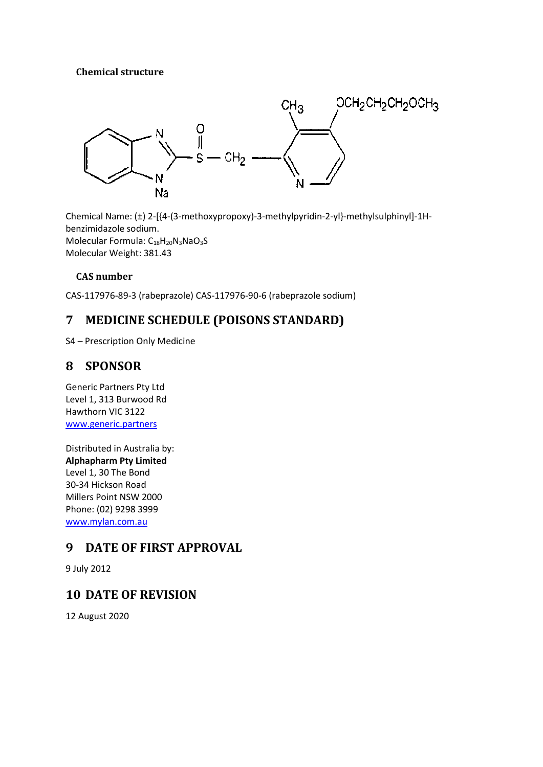## **Chemical structure**



Chemical Name: (±) 2-[{4-(3-methoxypropoxy)-3-methylpyridin-2-yl}-methylsulphinyl]-1Hbenzimidazole sodium. Molecular Formula: C<sub>18</sub>H<sub>20</sub>N<sub>3</sub>NaO<sub>3</sub>S Molecular Weight: 381.43

# **CAS number**

CAS-117976-89-3 (rabeprazole) CAS-117976-90-6 (rabeprazole sodium)

# **7 MEDICINE SCHEDULE (POISONS STANDARD)**

S4 – Prescription Only Medicine

# **8 SPONSOR**

Generic Partners Pty Ltd Level 1, 313 Burwood Rd Hawthorn VIC 3122 [www.generic.partners](http://www.generic.partners/)

Distributed in Australia by: **Alphapharm Pty Limited** Level 1, 30 The Bond 30-34 Hickson Road Millers Point NSW 2000 Phone: (02) 9298 3999 [www.mylan.com.au](http://www.mylan.com.au/)

# **9 DATE OF FIRST APPROVAL**

9 July 2012

# **10 DATE OF REVISION**

12 August 2020